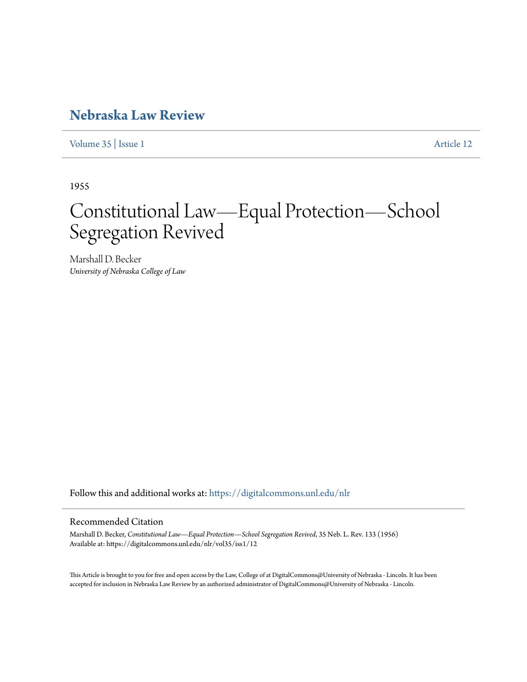## **[Nebraska Law Review](https://digitalcommons.unl.edu/nlr?utm_source=digitalcommons.unl.edu%2Fnlr%2Fvol35%2Fiss1%2F12&utm_medium=PDF&utm_campaign=PDFCoverPages)**

[Volume 35](https://digitalcommons.unl.edu/nlr/vol35?utm_source=digitalcommons.unl.edu%2Fnlr%2Fvol35%2Fiss1%2F12&utm_medium=PDF&utm_campaign=PDFCoverPages) | [Issue 1](https://digitalcommons.unl.edu/nlr/vol35/iss1?utm_source=digitalcommons.unl.edu%2Fnlr%2Fvol35%2Fiss1%2F12&utm_medium=PDF&utm_campaign=PDFCoverPages) [Article 12](https://digitalcommons.unl.edu/nlr/vol35/iss1/12?utm_source=digitalcommons.unl.edu%2Fnlr%2Fvol35%2Fiss1%2F12&utm_medium=PDF&utm_campaign=PDFCoverPages)

1955

# Constitutional Law—Equal Protection—School Segregation Revived

Marshall D. Becker *University of Nebraska College of Law*

Follow this and additional works at: [https://digitalcommons.unl.edu/nlr](https://digitalcommons.unl.edu/nlr?utm_source=digitalcommons.unl.edu%2Fnlr%2Fvol35%2Fiss1%2F12&utm_medium=PDF&utm_campaign=PDFCoverPages)

### Recommended Citation

Marshall D. Becker, *Constitutional Law—Equal Protection—School Segregation Revived*, 35 Neb. L. Rev. 133 (1956) Available at: https://digitalcommons.unl.edu/nlr/vol35/iss1/12

This Article is brought to you for free and open access by the Law, College of at DigitalCommons@University of Nebraska - Lincoln. It has been accepted for inclusion in Nebraska Law Review by an authorized administrator of DigitalCommons@University of Nebraska - Lincoln.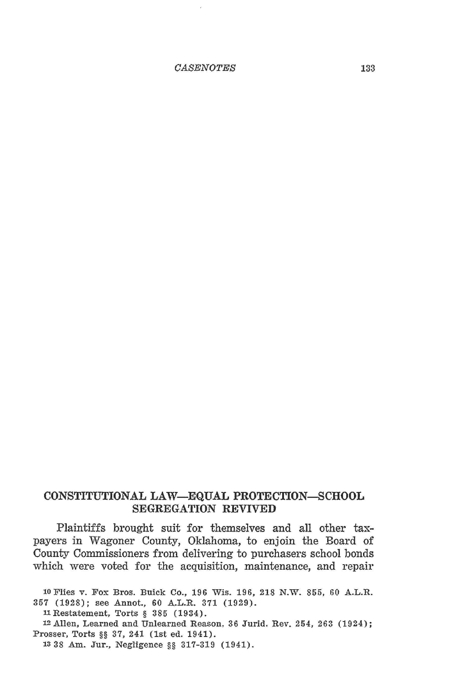*CASENOTES* 133

#### **CONSTITUTIONAL LAW-EQUAL PROTECTION-SCHOOL SEGREGATION REVIVED**

Plaintiffs brought suit for themselves and all other taxpayers in Wagoner County, Oklahoma, to enjoin the Board of County Commissioners from delivering to purchasers school bonds which were voted for the acquisition, maintenance, and repair

10 Flies v. Fox Bros. Buick Co., 196 Wis. 196, 218 N.W. 855, 60 A.L.R. 357 (1928); see Annot., 60 A.L.R. 371 (1929).

llRestatement, Torts§ 385 (1934).

12Allen, Learned and Unlearned Reason, 36 Jurid. Rev. 254, 263 (1924); Prosser, Torts§§ 37, 241 (1st ed. 1941).

13 38 Am. Jur., Negligence§§ 317-319 (1941).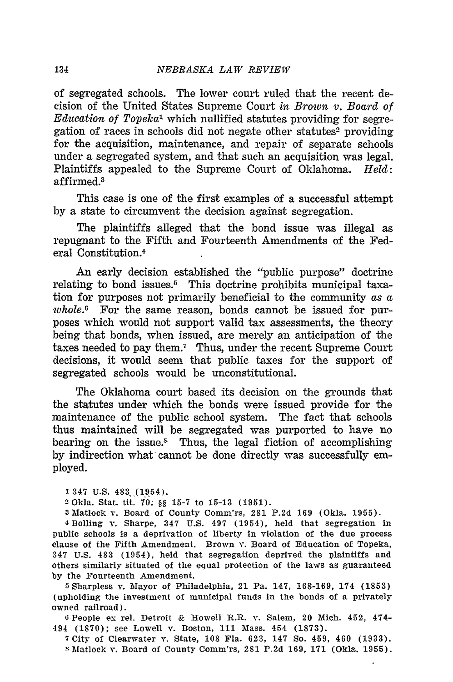of segregated schools. The lower court ruled that the recent decision of the United States Supreme Court *in Brown v. Board of Education of Topeka*1 which nullified statutes providing for segregation of races in schools did not negate other statutes<sup>2</sup> providing for the acquisition, maintenance, and repair of separate schools under a segregated system, and that such an acquisition was legal. Plaintiffs appealed to the Supreme Court of Oklahoma. *Held:*  affirmed.3

This case is one of the first examples of a successful attempt by a state to circumvent the decision against segregation.

The plaintiffs alleged that the bond issue was illegal as repugnant to the Fifth and Fourteenth Amendments of the Federal Constitution.4

An early decision established the "public purpose" doctrine relating to bond issues.5 This doctrine prohibits municipal taxation for purposes not primarily beneficial to the community *as a whole.°* For the same reason, bonds cannot be issued for purposes which would not support valid tax assessments, the theory being that bonds, when issued, are merely an anticipation of the taxes needed to pay them.7 Thus, under the recent Supreme Court decisions, it would seem that public taxes for the support of segregated schools would be unconstitutional.

The Oklahoma court based its decision on the grounds that the statutes under which the bonds were issued provide for the maintenance of the public school system. The fact that schools thus maintained will be segregated was purported to have no bearing on the issue.<sup>§</sup> Thus, the legal fiction of accomplishing by indirection what' cannot be done directly was successfully employed.

<sup>1</sup>347 u.s. 483 (1954).

:l Okla. Stat. tit: 7'0; §§ 15-7 to 15-13 (1951).

<sup>3</sup> Matlock *v.* Board of County Comm'rs, 281 P.2d 169 (Okla. 1955).

4Bolling v. Sharpe, 347 U.S. 497 (1954), held that segregation in public schools is a deprivation of liberty in violation of the due process clause of the Fifth Amendment. Brown v. Board of Education of Topeka, 347 U.S. 483 (1954), held that segregation deprived the plaintiffs and others similarly situated of the equal protection of the laws as guaranteed by the Fourteenth Amendment.

&Sharpless v. Mayor of Philadelphia, 21 Pa. 147, 168-169, 174 (1853) (upholding the investment of municipal funds in the bonds of a privately owned railroad).

o People ex rel. Detroit & Howell R.R. *v.* Salem, 20 Mich. 452, 474- 494 (1870); see Lowell *v.* Boston, 111 Mass. 454 (1873).

7 City of Clearwater v. State, 108 Fla. 623, 147 So. 459, 460 (1933). ~Matlock *v.* Board of County Comm'rs, 281 P.2d 169, 171 (Okla. 1955).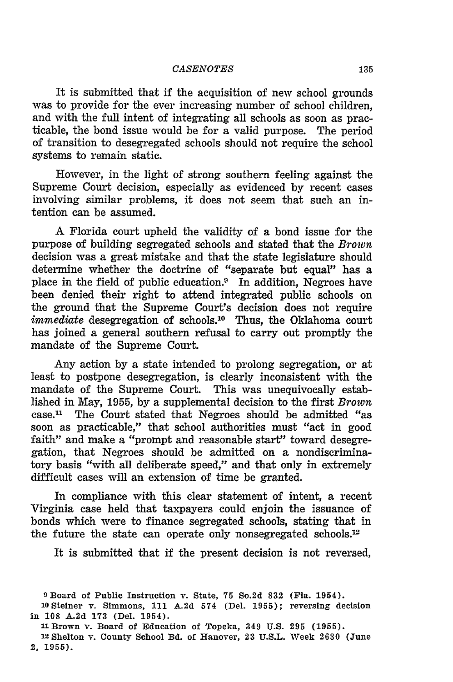#### *CASENOTES* 135

It is submitted that if the acquisition of new school grounds was to provide for the ever increasing number of school children, and with the full intent of integrating all schools as soon as practicable, the bond issue would be for a valid purpose. The period of transition to desegregated schools should not require the school systems to remain static.

However, in the light of strong southern feeling against the Supreme Court decision, especially as evidenced by recent cases involving similar problems, it does not seem that such an intention can be assumed.

A Florida court upheld the validity of a bond issue for the purpose of building segregated schools and stated that the *Brown*  decision was a great mistake and that the state legislature should determine whether the doctrine of "separate but equal" has a place in the field of public education.<sup>9</sup> In addition, Negroes have been denied their right to attend integrated public schools on the ground that the Supreme Court's decision does not require *immediate* desegregation of schools.<sup>10</sup> Thus, the Oklahoma court has joined a general southern refusal to carry out promptly the mandate of the Supreme Court.

Any action by a state intended to prolong segregation, or at least to postpone desegregation, is clearly inconsistent with the mandate of the Supreme Court. This was unequivocally established in May, 1955, by a supplemental decision to the first *Brown*  case.11 The Court stated that Negroes should be admitted "as soon as practicable," that school authorities must "act in good faith" and make a "prompt and reasonable start" toward desegregation, that Negroes should be admitted on a nondiscriminatory basis "with all deliberate speed," and that only in extremely difficult cases will an extension of time be granted.

In compliance with this clear statement of intent, a recent Virginia case held that taxpayers could enjoin the issuance of bonds which were to finance segregated schools, stating that in the future the state can operate only nonsegregated schools.<sup>12</sup>

It is submitted that if the present decision is not reversed,

<sup>9</sup> Board of Public Instruction v. State, 75 So.2d 832 (Fla. 1954). 10 Steiner v. Simmons, 111 A.2d 574 (Del. 1955); reversing decision

in 108 A.2d 173 (Del. 1954).

11 Brown v. Board of Education of Topeka, 349 U.S. 295 (1955).

12 Shelton v. County School Bd. of Hanover, 23 U.S.L. Week 2630 (June *2,* 1955).